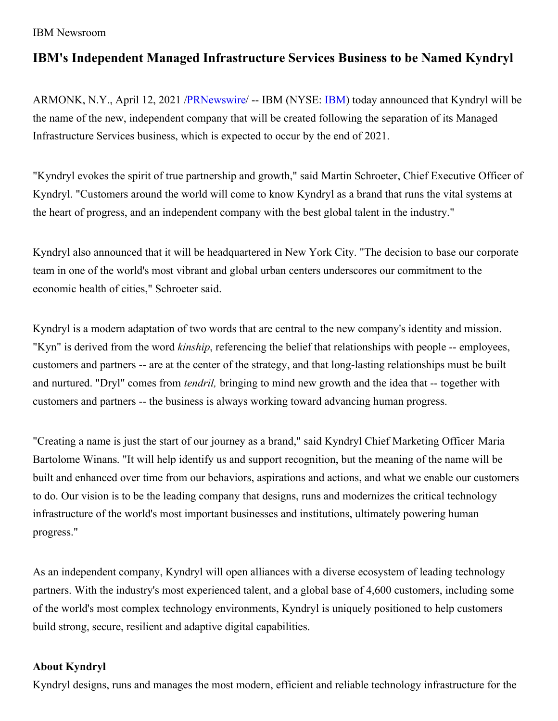## IBM Newsroom

## **IBM's Independent Managed Infrastructure Services Business to be Named Kyndryl**

ARMONK, N.Y., April 12, 2021 [/PRNewswire](http://www.prnewswire.com/)/ -- IBM (NYSE: [IBM](https://c212.net/c/link/?t=0&l=en&o=3125274-1&h=1471631626&u=https%3A%2F%2Fwww.ibm.com%2Finvestor&a=IBM)) today announced that Kyndryl will be the name of the new, independent company that will be created following the separation of its Managed Infrastructure Services business, which is expected to occur by the end of 2021.

"Kyndryl evokes the spirit of true partnership and growth," said Martin Schroeter, Chief Executive Officer of Kyndryl. "Customers around the world will come to know Kyndryl as a brand that runs the vital systems at the heart of progress, and an independent company with the best global talent in the industry."

Kyndryl also announced that it will be headquartered in New York City. "The decision to base our corporate team in one of the world's most vibrant and global urban centers underscores our commitment to the economic health of cities," Schroeter said.

Kyndryl is a modern adaptation of two words that are central to the new company's identity and mission. "Kyn" is derived from the word *kinship*, referencing the belief that relationships with people -- employees, customers and partners -- are at the center of the strategy, and that long-lasting relationships must be built and nurtured. "Dryl" comes from *tendril,* bringing to mind new growth and the idea that -- together with customers and partners -- the business is always working toward advancing human progress.

"Creating a name is just the start of our journey as a brand," said Kyndryl Chief Marketing Officer Maria Bartolome Winans. "It will help identify us and support recognition, but the meaning of the name will be built and enhanced over time from our behaviors, aspirations and actions, and what we enable our customers to do. Our vision is to be the leading company that designs, runs and modernizes the critical technology infrastructure of the world's most important businesses and institutions, ultimately powering human progress."

As an independent company, Kyndryl will open alliances with a diverse ecosystem of leading technology partners. With the industry's most experienced talent, and a global base of 4,600 customers, including some of the world's most complex technology environments, Kyndryl is uniquely positioned to help customers build strong, secure, resilient and adaptive digital capabilities.

## **About Kyndryl**

Kyndryl designs, runs and manages the most modern, efficient and reliable technology infrastructure for the